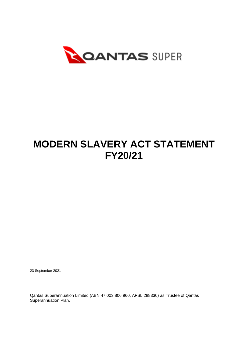

# **MODERN SLAVERY ACT STATEMENT FY20/21**

23 September 2021

Qantas Superannuation Limited (ABN 47 003 806 960, AFSL 288330) as Trustee of Qantas Superannuation Plan.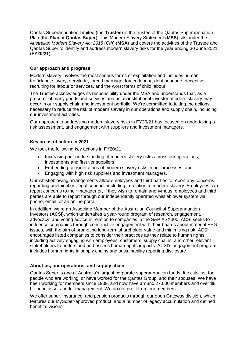Qantas Superannuation Limited (the **Trustee**) is the trustee of the Qantas Superannuation Plan (the **Plan** or **Qantas Super**). This Modern Slavery Statement (**MSS**) sits under the *Australian Modern Slavery Act 2018 (Cth*) (**MSA**) and covers the activities of the Trustee and Qantas Super to identify and address modern slavery risks for the year ending 30 June 2021 (**FY20/21**).

# **Our approach and progress**

Modern slavery involves the most serious forms of exploitation and includes human trafficking, slavery, servitude, forced marriage, forced labour, debt bondage, deceptive recruiting for labour or services, and the worst forms of child labour.

The Trustee acknowledges its responsibility under the MSA and understands that, as a procurer of many goods and services and as an institutional investor, modern slavery may occur in our supply chain and investment portfolio. We're committed to taking the actions necessary to reduce the risk of modern slavery in our operations and supply chain, including our investment activities.

Our approach to addressing modern slavery risks in FY20/21 has focused on undertaking a risk assessment, and engagement with suppliers and investment managers.

# **Key areas of action in 2021**

We took the following key actions in FY20/21:

- Increasing our understanding of modern slavery risks across our operations, investments and first tier suppliers;
- Embedding considerations of modern slavery risks in our processes; and
- Engaging with high risk suppliers and investment managers.

Our whistleblowing arrangements allow employees and third parties to report any concerns regarding unethical or illegal conduct, including in relation to modern slavery. Employees can report concerns to their manager or, if they wish to remain anonymous, employees and third parties are able to report through our independently operated whistleblower system via phone, email, or an online portal.

In addition, we're an Associate Member of the Australian Council of Superannuation Investors (**ACSI**), which undertakes a year-round program of research, engagement, advocacy, and voting advice in relation to companies in the S&P ASX300. ACSI seeks to influence companies through constructive engagement with their boards about material ESG issues, with the aim of promoting long-term shareholder value and minimising risk. ACSI encourages listed companies to consider their practices as they relate to human rights, including actively engaging with employees, customers, supply chains, and other relevant stakeholders to understand and assess human-rights impacts. ACSI's engagement program includes human rights in supply chains and sustainability reporting disclosure.

# **About us, our operations, and supply chain**

Qantas Super is one of Australia's largest corporate superannuation funds. It exists just for people who are working, or have worked for the Qantas Group, and their spouses. We have been working for members since 1939, and now have around 27,000 members and over \$8 billion in assets under management. We do not profit from our members.

We offer super, insurance, and pension products through our open Gateway division, which features our MySuper-approved product, and a number of legacy accumulation and defined benefit divisions.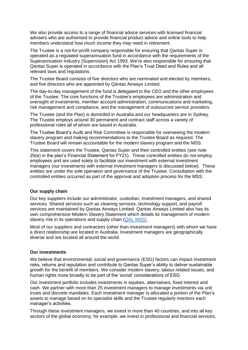We also provide access to a range of financial advice services with licensed financial advisers who are authorised to provide financial product advice and online tools to help members understand how much income they may need in retirement.

The Trustee is a not-for-profit company responsible for ensuring that Qantas Super is operated as a regulated superannuation fund in accordance with the requirements of the Superannuation Industry (Supervision) Act 1993. We're also responsible for ensuring that Qantas Super is operated in accordance with the Plan's Trust Deed and Rules and all relevant laws and regulations.

The Trustee Board consists of five directors who are nominated and elected by members, and five directors who are appointed by Qantas Airways Limited.

The day-to-day management of the fund is delegated to the CEO and the other employees of the Trustee. The core functions of the Trustee's employees are administration and oversight of investments, member account administration, communications and marketing, risk management and compliance, and the management of outsourced service providers.

The Trustee (and the Plan) is domiciled in Australia and our headquarters are in Sydney. The Trustee employs around 30 permanent and contract staff across a variety of professional roles all of whom are based in Australia.

The Trustee Board's Audit and Risk Committee is responsible for overseeing the modern slavery program and making recommendations to the Trustee Board as required. The Trustee Board will remain accountable for the modern slavery program and the MSS.

This statement covers the Trustee, Qantas Super and their controlled entities (see note 20(e) in the plan's Financial Statement for FY21). These controlled entities do not employ employees and are used solely to facilitate our investment with external investment managers (our investments with external investment managers is discussed below). These entities are under the sole operation and governance of the Trustee. Consultation with the controlled entities occurred as part of the approval and adoption process for the MSS.

# **Our supply chain**

Our key suppliers include our administrator, custodian, investment managers, and shared services. Shared services such as cleaning services, technology support, and payroll services are maintained by Qantas Airways Limited. Qantas Airways Limited also has its own comprehensive Modern Slavery Statement which details its management of modern slavery risk in its operations and supply chain [\(QAL MSS\)](https://www.qantas.com/content/dam/qantas/pdfs/about-us/corporate-governance/modern-slavery-and-human-trafficking-statement.pdf).

Most of our suppliers and contractors (other than investment managers) with whom we have a direct relationship are located in Australia. Investment managers are geographically diverse and are located all around the world.

#### **Our investments**

We believe that environmental, social and governance (ESG) factors can impact investment risks, returns and reputation and contribute to Qantas Super's ability to deliver sustainable growth for the benefit of members. We consider modern slavery, labour related issues, and human rights more broadly to be part of the 'social' considerations of ESG.

Our investment portfolio includes investments in equities, alternatives, fixed interest and cash. We partner with more than 25 investment managers to manage investments via unit trusts and discrete mandates. Each investment manager is allocated a portion of the Plan's assets to manage based on its specialist skills and the Trustee regularly monitors each manager's activities.

Through these investment managers, we invest in more than 40 countries, and into all key sectors of the global economy; for example, we invest in professional and financial services,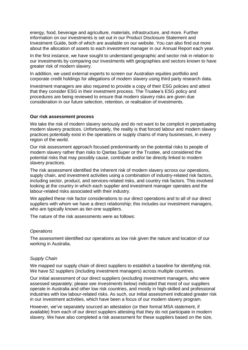energy, food, beverage and agriculture, materials, infrastructure, and more. Further information on our investments is set out in our Product Disclosure Statement and Investment Guide, both of which are available on our website. You can also find out more about the allocation of assets to each investment manager in our [Annual Report](https://www.oursuperfund.com.au/help-support/forms-publications/annual-reports.html) each year.

In the first instance, we have sought to understand geographic and sector risk in relation to our investments by comparing our investments with geographies and sectors known to have greater risk of modern slavery.

In addition, we used external experts to screen our Australian equities portfolio and corporate credit holdings for allegations of modern slavery using third party research data.

Investment managers are also required to provide a copy of their ESG policies and attest that they consider ESG in their investment process. The Trustee's ESG policy and procedures are being reviewed to ensure that modern slavery risks are given due consideration in our future selection, retention, or realisation of investments.

#### **Our risk assessment process**

We take the risk of modern slavery seriously and do not want to be complicit in perpetuating modern slavery practices. Unfortunately, the reality is that forced labour and modern slavery practices potentially exist in the operations or supply chains of many businesses, in every region of the world.

Our risk assessment approach focused predominantly on the potential risks to people of modern slavery rather than risks to Qantas Super or the Trustee, and considered the potential risks that may possibly cause, contribute and/or be directly linked to modern slavery practices.

The risk assessment identified the inherent risk of modern slavery across our operations, supply chain, and investment activities using a combination of industry-related risk factors, including sector, product, and services-related risks, and country risk factors. This involved looking at the country in which each supplier and investment manager operates and the labour-related risks associated with their industry.

We applied these risk factor considerations to our direct operations and to all of our direct suppliers with whom we have a direct relationship; this includes our investment managers, who are typically known as tier-one suppliers.

The nature of the risk assessments were as follows:

#### *Operations*

The assessment identified our operations as low risk given the nature and location of our working in Australia.

#### *Supply Chain*

We mapped our supply chain of direct suppliers to establish a baseline for identifying risk. We have 52 suppliers (including investment managers) across multiple countries.

Our initial assessment of our direct suppliers (excluding investment managers, who were assessed separately; please see *Investments* below) indicated that most of our suppliers operate in Australia and other low risk countries, and mostly in high-skilled and professional industries with low labour-related risks. As such, our initial assessment indicated greater risk in our investment activities, which have been a focus of our modern slavery program.

However, we've separately sourced an attestation (or their formal MSA statement, if available) from each of our direct suppliers attesting that they do not participate in modern slavery. We have also completed a risk assessment for these suppliers based on the size,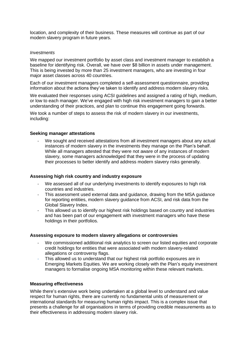location, and complexity of their business. These measures will continue as part of our modern slavery program in future years.

## *Investments*

We mapped our investment portfolio by asset class and investment manager to establish a baseline for identifying risk. Overall, we have over \$8 billion in assets under management. This is being invested by more than 25 investment managers, who are investing in four major asset classes across 40 countries.

Each of our investment managers completed a self-assessment questionnaire, providing information about the actions they've taken to identify and address modern slavery risks.

We evaluated their responses using ACSI guidelines and assigned a rating of high, medium, or low to each manager. We've engaged with high risk investment managers to gain a better understanding of their practices, and plan to continue this engagement going forwards.

We took a number of steps to assess the risk of modern slavery in our investments, including:

## **Seeking manager attestations**

We sought and received attestations from all investment managers about any actual instances of modern slavery in the investments they manage on the Plan's behalf. While all managers attested that they were not aware of any instances of modern slavery, some managers acknowledged that they were in the process of updating their processes to better identify and address modern slavery risks generally.

## **Assessing high risk country and industry exposure**

- We assessed all of our underlying investments to identify exposures to high risk countries and industries.
- This assessment used external data and guidance, drawing from the MSA guidance for reporting entities, modern slavery guidance from ACSI, and risk data from the Global Slavery Index.
- This allowed us to identify our highest risk holdings based on country and industries and has been part of our engagement with investment managers who have these holdings in their portfolios.

#### **Assessing exposure to modern slavery allegations or controversies**

- We commissioned additional risk analytics to screen our listed equities and corporate credit holdings for entities that were associated with modern slavery-related allegations or controversy flags.
- This allowed us to understand that our highest risk portfolio exposures are in Emerging Markets Equities. We are working closely with the Plan's equity investment managers to formalise ongoing MSA monitoring within these relevant markets.

# **Measuring effectiveness**

While there's extensive work being undertaken at a global level to understand and value respect for human rights, there are currently no fundamental units of measurement or international standards for measuring human rights impact. This is a complex issue that presents a challenge for all organisations in terms of providing credible measurements as to their effectiveness in addressing modern slavery risk.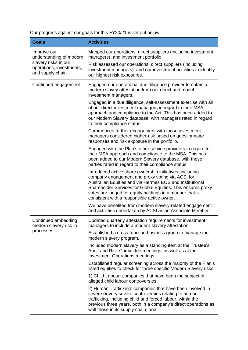Our progress against our goals for this FY20/21 is set out below:

| <b>Goals</b>                                                                                                   | <b>Activities</b>                                                                                                                                                                                                                                                                                                                                   |
|----------------------------------------------------------------------------------------------------------------|-----------------------------------------------------------------------------------------------------------------------------------------------------------------------------------------------------------------------------------------------------------------------------------------------------------------------------------------------------|
| Improve our<br>understanding of modern<br>slavery risks in our<br>operations, investments,<br>and supply chain | Mapped our operations, direct suppliers (including investment<br>managers), and investment portfolio.                                                                                                                                                                                                                                               |
|                                                                                                                | Risk assessed our operations, direct suppliers (including<br>investment managers), and our investment activities to identify<br>our highest risk exposures.                                                                                                                                                                                         |
| Continued engagement                                                                                           | Engaged our operational due diligence provider to obtain a<br>modern slavey attestation from our direct and model<br>investment managers.                                                                                                                                                                                                           |
|                                                                                                                | Engaged in a due diligence, self-assessment exercise with all<br>of our direct investment managers in regard to their MSA<br>approach and compliance to the Act. This has been added to<br>our Modern Slavery database, with managers rated in regard<br>to their compliance status.                                                                |
|                                                                                                                | Commenced further engagement with those investment<br>managers considered higher-risk based on questionnaire<br>responses and risk exposure in the portfolio.                                                                                                                                                                                       |
|                                                                                                                | Engaged with the Plan's other service providers in regard to<br>their MSA approach and compliance to the MSA. This has<br>been added to our Modern Slavery database, with these<br>parties rated in regard to their compliance status.                                                                                                              |
|                                                                                                                | Introduced active share ownership initiatives, including<br>company engagement and proxy voting via ACSI for<br>Australian Equities and via Hermes EOS and Institutional<br>Shareholder Services for Global Equities. This ensures proxy<br>votes are lodged for equity holdings in a manner that is<br>consistent with a responsible active owner. |
|                                                                                                                | We have benefited from modern slavery-related engagement<br>and activities undertaken by ACSI as an Associate Member.                                                                                                                                                                                                                               |
| Continued embedding<br>modern slavery risk in<br>processes                                                     | Updated quarterly attestation requirements for investment<br>managers to include a modern slavery attestation.                                                                                                                                                                                                                                      |
|                                                                                                                | Established a cross-function business group to manage the<br>modern slavery program.                                                                                                                                                                                                                                                                |
|                                                                                                                | Included modern slavery as a standing item at the Trustee's<br>Audit and Risk Committee meetings, as well as at the<br>Investment Operations meetings.                                                                                                                                                                                              |
|                                                                                                                | Established regular screening across the majority of the Plan's<br>listed equities to check for three specific Modern Slavery risks:                                                                                                                                                                                                                |
|                                                                                                                | 1) Child Labour: companies that have been the subject of<br>alleged child labour controversies;                                                                                                                                                                                                                                                     |
|                                                                                                                | 2) Human Trafficking: companies that have been involved in<br>severe or very severe controversies relating to human<br>trafficking, including child and forced labour, within the<br>previous three years, both in a company's direct operations as<br>well those in its supply chain; and                                                          |